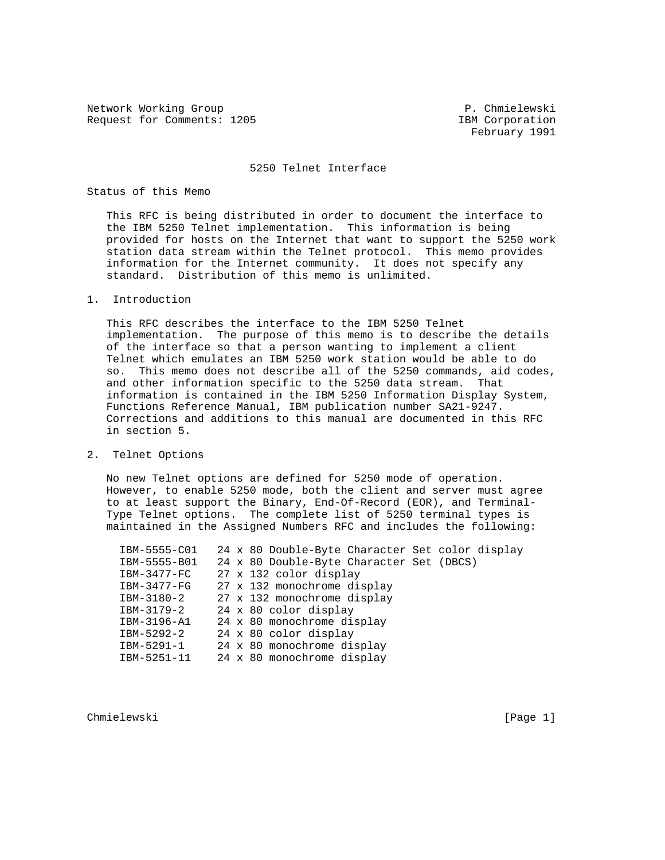Network Working Group **P. Chmielewski** Request for Comments: 1205 IBM Corporation

February 1991

#### 5250 Telnet Interface

## Status of this Memo

 This RFC is being distributed in order to document the interface to the IBM 5250 Telnet implementation. This information is being provided for hosts on the Internet that want to support the 5250 work station data stream within the Telnet protocol. This memo provides information for the Internet community. It does not specify any standard. Distribution of this memo is unlimited.

## 1. Introduction

 This RFC describes the interface to the IBM 5250 Telnet implementation. The purpose of this memo is to describe the details of the interface so that a person wanting to implement a client Telnet which emulates an IBM 5250 work station would be able to do so. This memo does not describe all of the 5250 commands, aid codes, and other information specific to the 5250 data stream. That information is contained in the IBM 5250 Information Display System, Functions Reference Manual, IBM publication number SA21-9247. Corrections and additions to this manual are documented in this RFC in section 5.

2. Telnet Options

 No new Telnet options are defined for 5250 mode of operation. However, to enable 5250 mode, both the client and server must agree to at least support the Binary, End-Of-Record (EOR), and Terminal- Type Telnet options. The complete list of 5250 terminal types is maintained in the Assigned Numbers RFC and includes the following:

 IBM-5555-C01 24 x 80 Double-Byte Character Set color display IBM-5555-B01 24 x 80 Double-Byte Character Set (DBCS) IBM-3477-FC 27 x 132 color display IBM-3477-FG 27 x 132 monochrome display IBM-3180-2 27 x 132 monochrome display IBM-3179-2 24 x 80 color display IBM-3196-A1 24 x 80 monochrome display IBM-5292-2 24 x 80 color display IBM-5291-1 24 x 80 monochrome display IBM-5251-11 24 x 80 monochrome display

Chmielewski [Page 1]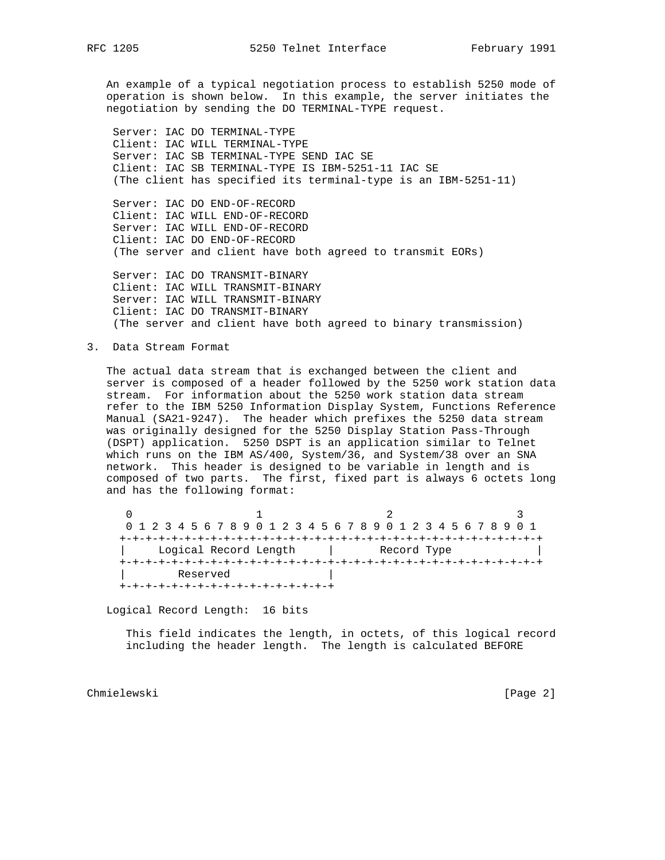An example of a typical negotiation process to establish 5250 mode of operation is shown below. In this example, the server initiates the negotiation by sending the DO TERMINAL-TYPE request.

 Server: IAC DO TERMINAL-TYPE Client: IAC WILL TERMINAL-TYPE Server: IAC SB TERMINAL-TYPE SEND IAC SE Client: IAC SB TERMINAL-TYPE IS IBM-5251-11 IAC SE (The client has specified its terminal-type is an IBM-5251-11)

 Server: IAC DO END-OF-RECORD Client: IAC WILL END-OF-RECORD Server: IAC WILL END-OF-RECORD Client: IAC DO END-OF-RECORD (The server and client have both agreed to transmit EORs)

 Server: IAC DO TRANSMIT-BINARY Client: IAC WILL TRANSMIT-BINARY Server: IAC WILL TRANSMIT-BINARY Client: IAC DO TRANSMIT-BINARY (The server and client have both agreed to binary transmission)

3. Data Stream Format

 The actual data stream that is exchanged between the client and server is composed of a header followed by the 5250 work station data stream. For information about the 5250 work station data stream refer to the IBM 5250 Information Display System, Functions Reference Manual (SA21-9247). The header which prefixes the 5250 data stream was originally designed for the 5250 Display Station Pass-Through (DSPT) application. 5250 DSPT is an application similar to Telnet which runs on the IBM AS/400, System/36, and System/38 over an SNA network. This header is designed to be variable in length and is composed of two parts. The first, fixed part is always 6 octets long and has the following format:

 $0$  and  $1$  and  $2$  3 0 1 2 3 4 5 6 7 8 9 0 1 2 3 4 5 6 7 8 9 0 1 2 3 4 5 6 7 8 9 0 1 +-+-+-+-+-+-+-+-+-+-+-+-+-+-+-+-+-+-+-+-+-+-+-+-+-+-+-+-+-+-+-+-+ | Logical Record Length | Record Type | +-+-+-+-+-+-+-+-+-+-+-+-+-+-+-+-+-+-+-+-+-+-+-+-+-+-+-+-+-+-+-+-+ Reserved +-+-+-+-+-+-+-+-+-+-+-+-+-+-+-+-+

Logical Record Length: 16 bits

 This field indicates the length, in octets, of this logical record including the header length. The length is calculated BEFORE

Chmielewski [Page 2]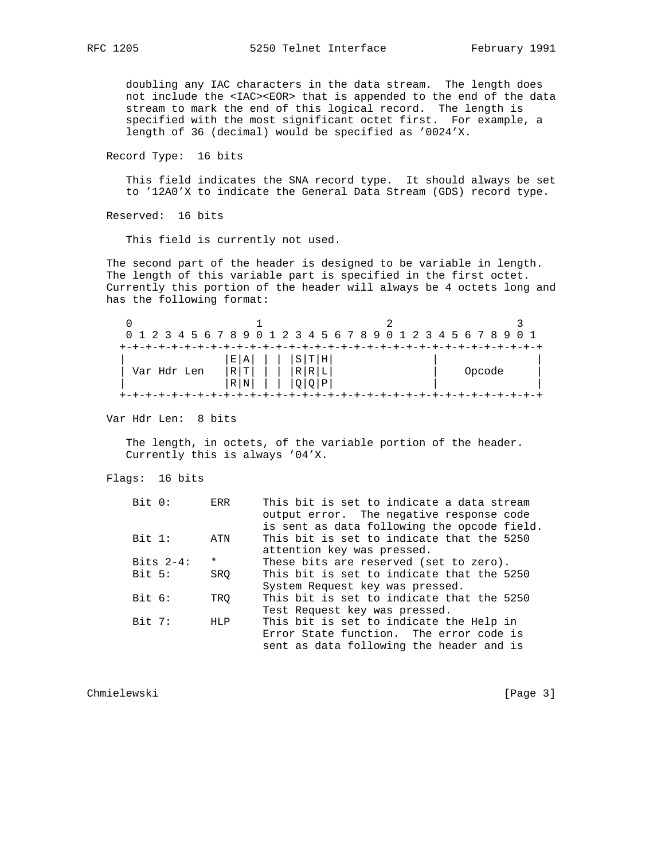doubling any IAC characters in the data stream. The length does not include the <IAC><EOR> that is appended to the end of the data stream to mark the end of this logical record. The length is specified with the most significant octet first. For example, a length of 36 (decimal) would be specified as '0024'X.

Record Type: 16 bits

 This field indicates the SNA record type. It should always be set to '12A0'X to indicate the General Data Stream (GDS) record type.

Reserved: 16 bits

This field is currently not used.

 The second part of the header is designed to be variable in length. The length of this variable part is specified in the first octet. Currently this portion of the header will always be 4 octets long and has the following format:

|             |       |   |     | 0 1 2 3 4 5 6 7 8 9 0 1 2 3 4 5 6 7 8 9 0 1 2 3 4 5 6 7 8 9 0 1 |        |
|-------------|-------|---|-----|-----------------------------------------------------------------|--------|
|             |       |   |     |                                                                 |        |
|             | EIA   | S | TIH |                                                                 |        |
| Var Hdr Len | RIT   | R |     |                                                                 | Opcode |
|             | R   N |   |     |                                                                 |        |
|             |       |   |     |                                                                 |        |

Var Hdr Len: 8 bits

 The length, in octets, of the variable portion of the header. Currently this is always '04'X.

Flags: 16 bits

| This bit is set to indicate a data stream   |
|---------------------------------------------|
| output error. The negative response code    |
| is sent as data following the opcode field. |
| This bit is set to indicate that the 5250   |
| attention key was pressed.                  |
| These bits are reserved (set to zero).      |
| This bit is set to indicate that the 5250   |
| System Request key was pressed.             |
| This bit is set to indicate that the 5250   |
| Test Request key was pressed.               |
| This bit is set to indicate the Help in     |
| Error State function. The error code is     |
| sent as data following the header and is    |
|                                             |

Chmielewski [Page 3]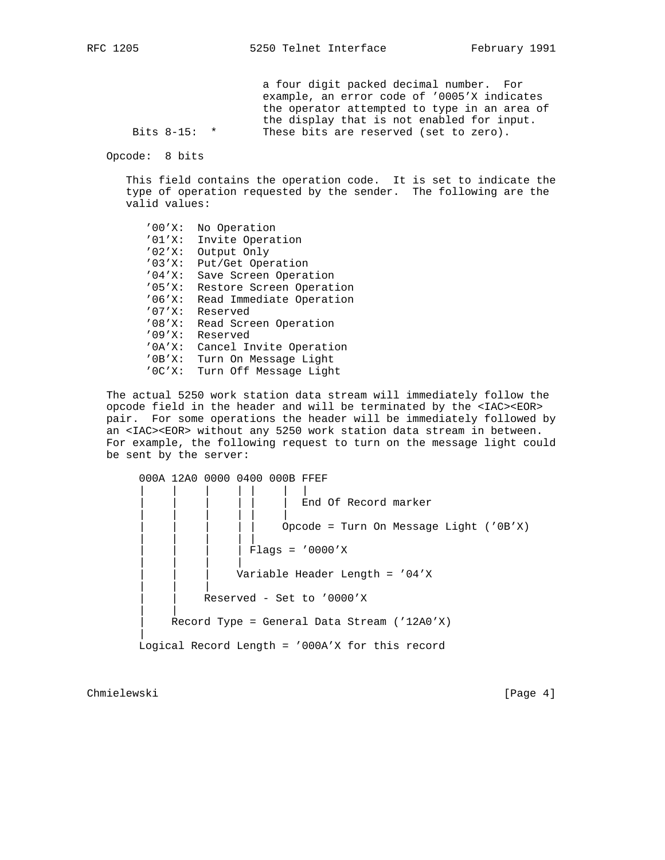a four digit packed decimal number. For example, an error code of '0005'X indicates the operator attempted to type in an area of the display that is not enabled for input.<br>Bits 8-15: \* These bits are reserved (set to zero). These bits are reserved (set to zero).

Opcode: 8 bits

 This field contains the operation code. It is set to indicate the type of operation requested by the sender. The following are the valid values:

 '00'X: No Operation '01'X: Invite Operation '02'X: Output Only '03'X: Put/Get Operation '04'X: Save Screen Operation '05'X: Restore Screen Operation '06'X: Read Immediate Operation '07'X: Reserved '08'X: Read Screen Operation '09'X: Reserved '0A'X: Cancel Invite Operation '0B'X: Turn On Message Light '0C'X: Turn Off Message Light

 The actual 5250 work station data stream will immediately follow the opcode field in the header and will be terminated by the <IAC><EOR> pair. For some operations the header will be immediately followed by an <IAC><EOR> without any 5250 work station data stream in between. For example, the following request to turn on the message light could be sent by the server:

 000A 12A0 0000 0400 000B FFEF | | | | | | | End Of Record marker | | | | | | Opcode = Turn On Message Light ( $'0B'X$ ) | | | | | | | | | Flags = '0000'X | | | | Variable Header Length = '04'X | | | Reserved - Set to '0000'X | | Record Type = General Data Stream ('12A0'X) | Logical Record Length = '000A'X for this record

Chmielewski [Page 4]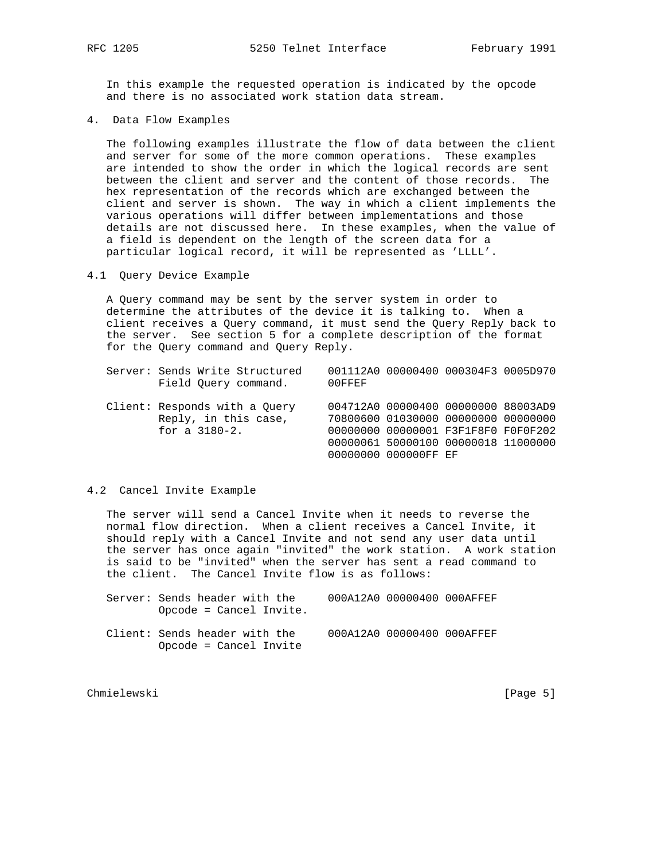In this example the requested operation is indicated by the opcode and there is no associated work station data stream.

4. Data Flow Examples

 The following examples illustrate the flow of data between the client and server for some of the more common operations. These examples are intended to show the order in which the logical records are sent between the client and server and the content of those records. The hex representation of the records which are exchanged between the client and server is shown. The way in which a client implements the various operations will differ between implementations and those details are not discussed here. In these examples, when the value of a field is dependent on the length of the screen data for a particular logical record, it will be represented as 'LLLL'.

4.1 Query Device Example

 A Query command may be sent by the server system in order to determine the attributes of the device it is talking to. When a client receives a Query command, it must send the Query Reply back to the server. See section 5 for a complete description of the format for the Query command and Query Reply.

|  | Server: Sends Write Structured |        | 001112A0 00000400 000304F3 0005D970 |  |
|--|--------------------------------|--------|-------------------------------------|--|
|  | Field Ouery command.           | 00FFEF |                                     |  |

 Client: Responds with a Query 004712A0 00000400 00000000 88003AD9 Reply, in this case, 70800600 01030000 00000000 00000000 for a 3180-2. 00000000 00000001 F3F1F8F0 F0F0F202 00000061 50000100 00000018 11000000 00000000 000000FF EF

## 4.2 Cancel Invite Example

 The server will send a Cancel Invite when it needs to reverse the normal flow direction. When a client receives a Cancel Invite, it should reply with a Cancel Invite and not send any user data until the server has once again "invited" the work station. A work station is said to be "invited" when the server has sent a read command to the client. The Cancel Invite flow is as follows:

| Server: Sends header with the |  | 000A12A0 00000400 000AFFEF |  |
|-------------------------------|--|----------------------------|--|
| $Opcode = Cancel Invite.$     |  |                            |  |

 Client: Sends header with the 000A12A0 00000400 000AFFEF Opcode = Cancel Invite

Chmielewski [Page 5]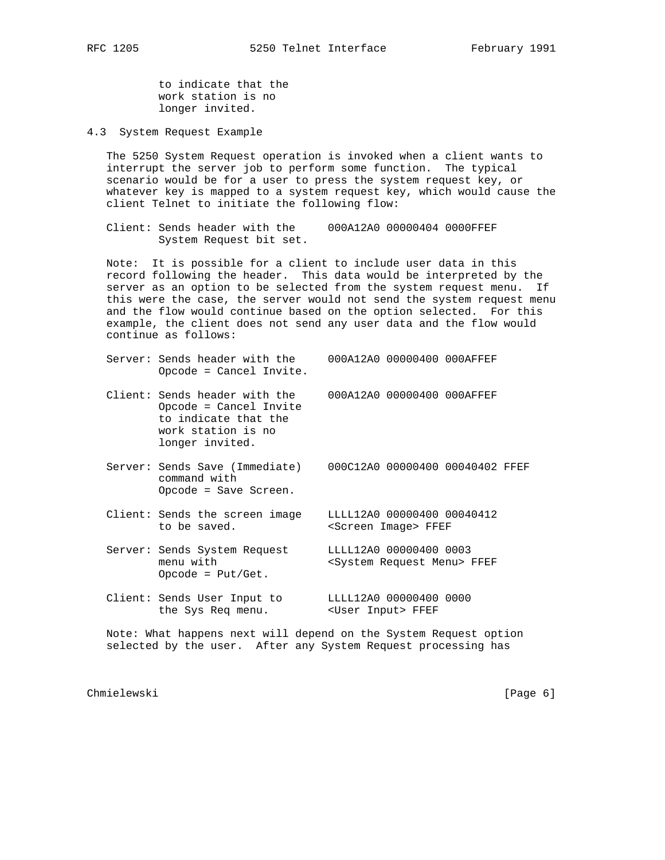to indicate that the work station is no longer invited.

4.3 System Request Example

 The 5250 System Request operation is invoked when a client wants to interrupt the server job to perform some function. The typical scenario would be for a user to press the system request key, or whatever key is mapped to a system request key, which would cause the client Telnet to initiate the following flow:

 Client: Sends header with the 000A12A0 00000404 0000FFEF System Request bit set.

 Note: It is possible for a client to include user data in this record following the header. This data would be interpreted by the server as an option to be selected from the system request menu. If this were the case, the server would not send the system request menu and the flow would continue based on the option selected. For this example, the client does not send any user data and the flow would continue as follows:

|  | Server: Sends header with the<br>Opcode = Cancel Invite.                                                                 | 000A12A0 00000400 000AFFEF |                                                    |  |
|--|--------------------------------------------------------------------------------------------------------------------------|----------------------------|----------------------------------------------------|--|
|  | Client: Sends header with the<br>Opcode = Cancel Invite<br>to indicate that the<br>work station is no<br>longer invited. | 000A12A0 00000400 000AFFEF |                                                    |  |
|  | Constron: Conda Cone (Immodiab)                                                                                          |                            | $0.0001330 \cdot 0.0000400 \cdot 0.0040402 \cdot $ |  |

 Server: Sends Save (Immediate) 000C12A0 00000400 00040402 FFEF command with Opcode = Save Screen.

 Client: Sends the screen image LLLL12A0 00000400 00040412 to be saved. <Screen Image> FFEF

 Server: Sends System Request LLLL12A0 00000400 0003 menu with <System Request Menu> FFEF Opcode = Put/Get.

 Client: Sends User Input to LLLL12A0 00000400 0000 the Sys Req menu. <User Input> FFEF

 Note: What happens next will depend on the System Request option selected by the user. After any System Request processing has

Chmielewski [Page 6]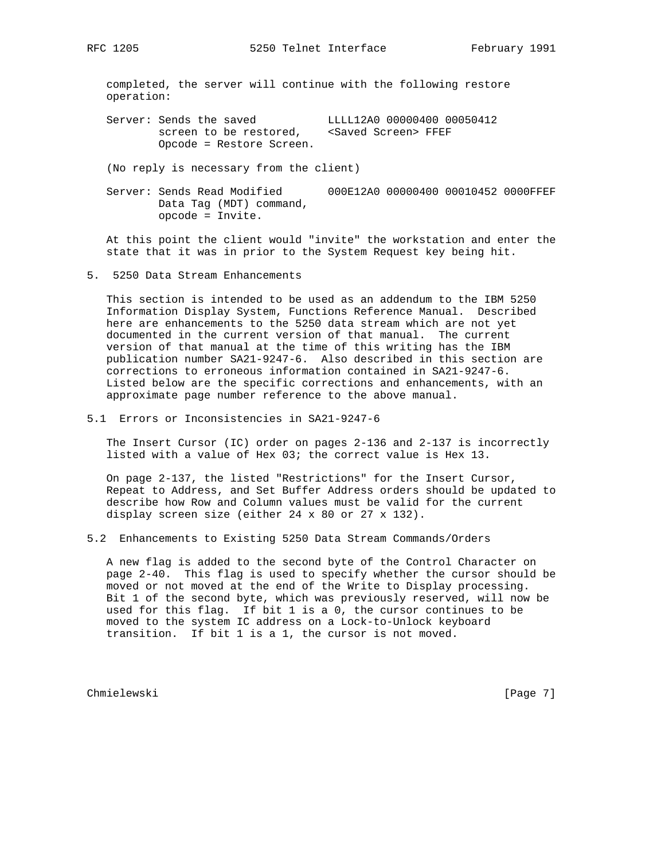completed, the server will continue with the following restore operation:

Server: Sends the saved LLLL12A0 00000400 00050412<br>screen to be restored, <Saved Screen> FFEF screen to be restored, Opcode = Restore Screen.

(No reply is necessary from the client)

 Server: Sends Read Modified 000E12A0 00000400 00010452 0000FFEF Data Tag (MDT) command, opcode = Invite.

 At this point the client would "invite" the workstation and enter the state that it was in prior to the System Request key being hit.

5. 5250 Data Stream Enhancements

 This section is intended to be used as an addendum to the IBM 5250 Information Display System, Functions Reference Manual. Described here are enhancements to the 5250 data stream which are not yet documented in the current version of that manual. The current version of that manual at the time of this writing has the IBM publication number SA21-9247-6. Also described in this section are corrections to erroneous information contained in SA21-9247-6. Listed below are the specific corrections and enhancements, with an approximate page number reference to the above manual.

5.1 Errors or Inconsistencies in SA21-9247-6

 The Insert Cursor (IC) order on pages 2-136 and 2-137 is incorrectly listed with a value of Hex 03; the correct value is Hex 13.

 On page 2-137, the listed "Restrictions" for the Insert Cursor, Repeat to Address, and Set Buffer Address orders should be updated to describe how Row and Column values must be valid for the current display screen size (either 24 x 80 or 27 x 132).

5.2 Enhancements to Existing 5250 Data Stream Commands/Orders

 A new flag is added to the second byte of the Control Character on page 2-40. This flag is used to specify whether the cursor should be moved or not moved at the end of the Write to Display processing. Bit 1 of the second byte, which was previously reserved, will now be used for this flag. If bit 1 is a 0, the cursor continues to be moved to the system IC address on a Lock-to-Unlock keyboard transition. If bit 1 is a 1, the cursor is not moved.

Chmielewski [Page 7]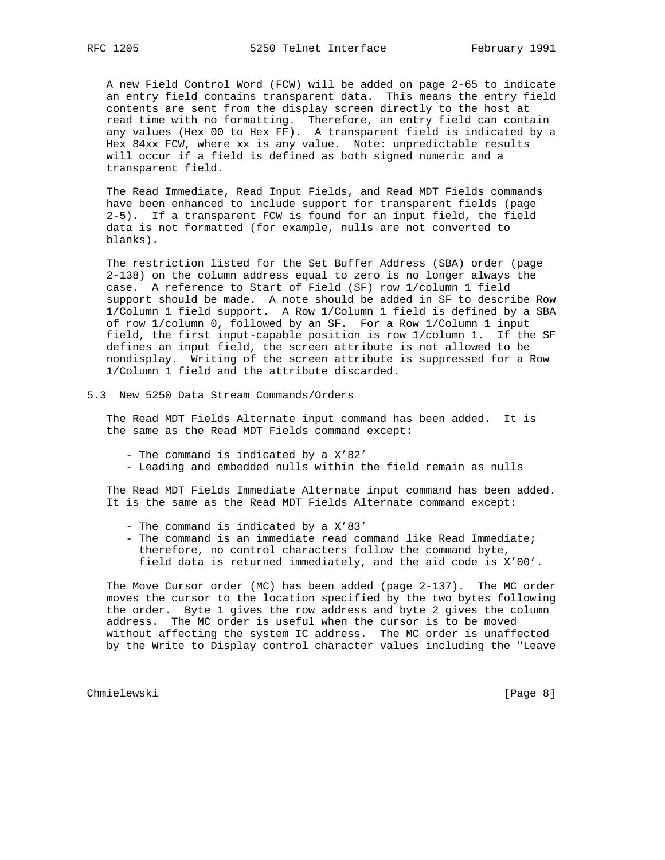A new Field Control Word (FCW) will be added on page 2-65 to indicate an entry field contains transparent data. This means the entry field contents are sent from the display screen directly to the host at read time with no formatting. Therefore, an entry field can contain any values (Hex 00 to Hex FF). A transparent field is indicated by a Hex 84xx FCW, where xx is any value. Note: unpredictable results will occur if a field is defined as both signed numeric and a transparent field.

 The Read Immediate, Read Input Fields, and Read MDT Fields commands have been enhanced to include support for transparent fields (page 2-5). If a transparent FCW is found for an input field, the field data is not formatted (for example, nulls are not converted to blanks).

 The restriction listed for the Set Buffer Address (SBA) order (page 2-138) on the column address equal to zero is no longer always the case. A reference to Start of Field (SF) row 1/column 1 field support should be made. A note should be added in SF to describe Row 1/Column 1 field support. A Row 1/Column 1 field is defined by a SBA of row 1/column 0, followed by an SF. For a Row 1/Column 1 input field, the first input-capable position is row 1/column 1. If the SF defines an input field, the screen attribute is not allowed to be nondisplay. Writing of the screen attribute is suppressed for a Row 1/Column 1 field and the attribute discarded.

5.3 New 5250 Data Stream Commands/Orders

 The Read MDT Fields Alternate input command has been added. It is the same as the Read MDT Fields command except:

- The command is indicated by a X'82'
- Leading and embedded nulls within the field remain as nulls

 The Read MDT Fields Immediate Alternate input command has been added. It is the same as the Read MDT Fields Alternate command except:

- The command is indicated by a X'83'
- The command is an immediate read command like Read Immediate; therefore, no control characters follow the command byte, field data is returned immediately, and the aid code is X'00'.

 The Move Cursor order (MC) has been added (page 2-137). The MC order moves the cursor to the location specified by the two bytes following the order. Byte 1 gives the row address and byte 2 gives the column address. The MC order is useful when the cursor is to be moved without affecting the system IC address. The MC order is unaffected by the Write to Display control character values including the "Leave

Chmielewski [Page 8]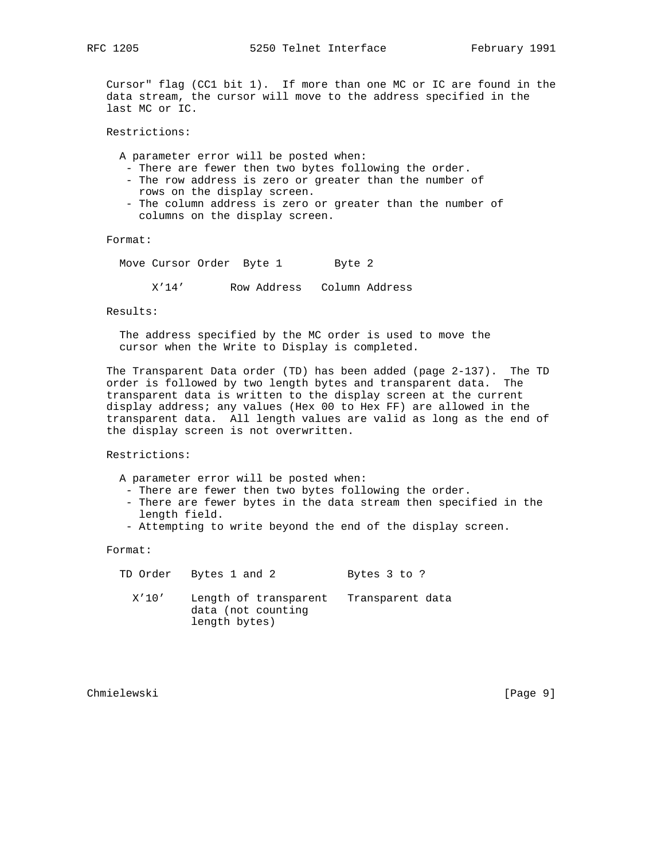Cursor" flag (CC1 bit 1). If more than one MC or IC are found in the data stream, the cursor will move to the address specified in the last MC or IC.

Restrictions:

A parameter error will be posted when:

- There are fewer then two bytes following the order.
- The row address is zero or greater than the number of rows on the display screen.
- The column address is zero or greater than the number of columns on the display screen.

Format:

Move Cursor Order Byte 1 Byte 2

X'14' Row Address Column Address

Results:

 The address specified by the MC order is used to move the cursor when the Write to Display is completed.

 The Transparent Data order (TD) has been added (page 2-137). The TD order is followed by two length bytes and transparent data. The transparent data is written to the display screen at the current display address; any values (Hex 00 to Hex FF) are allowed in the transparent data. All length values are valid as long as the end of the display screen is not overwritten.

Restrictions:

A parameter error will be posted when:

- There are fewer then two bytes following the order.
- There are fewer bytes in the data stream then specified in the length field.
- Attempting to write beyond the end of the display screen.

Format:

|       | TD Order Bytes 1 and 2                                       | Bytes 3 to ?     |
|-------|--------------------------------------------------------------|------------------|
| X'10' | Length of transparent<br>data (not counting<br>length bytes) | Transparent data |

Chmielewski [Page 9]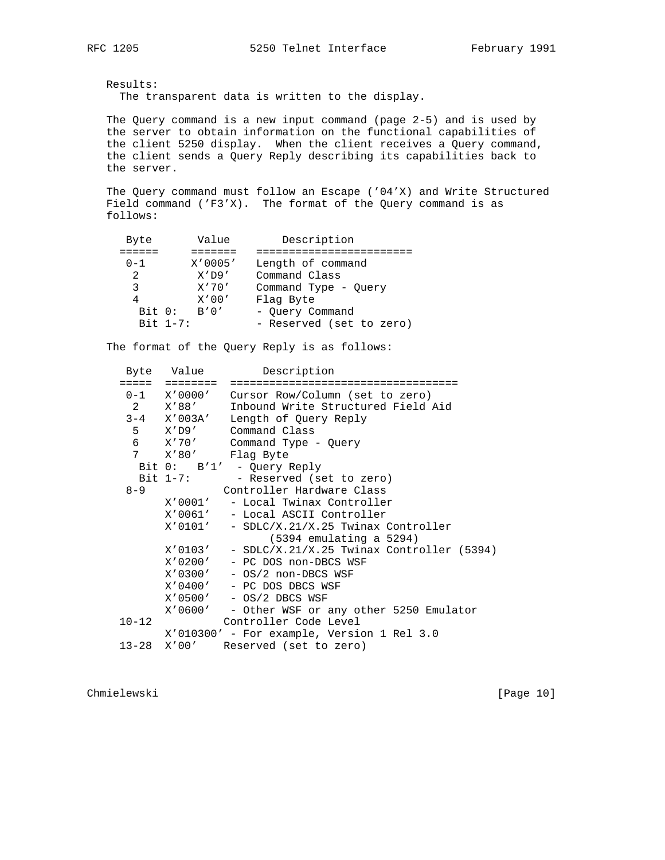Results: The transparent data is written to the display.

 The Query command is a new input command (page 2-5) and is used by the server to obtain information on the functional capabilities of the client 5250 display. When the client receives a Query command, the client sends a Query Reply describing its capabilities back to the server.

 The Query command must follow an Escape ('04'X) and Write Structured Field command ('F3'X). The format of the Query command is as follows:

| Byte           | Value      | Description              |
|----------------|------------|--------------------------|
|                |            |                          |
| $0 - 1$        | X'0005'    | Length of command        |
| $\mathfrak{D}$ | X'D9'      | Command Class            |
| 3              | X'70'      | Command Type - Query     |
| 4              | X'00'      | Flag Byte                |
| Bit 0:         | B'0'       | - Ouery Command          |
|                | $Bit 1-7:$ | - Reserved (set to zero) |

The format of the Query Reply is as follows:

|                   | Byte Value        | Description                                          |
|-------------------|-------------------|------------------------------------------------------|
|                   | ========          |                                                      |
|                   |                   | 0-1 X'0000' Cursor Row/Column (set to zero)          |
|                   | 2 X'88'           | Inbound Write Structured Field Aid                   |
|                   | $3 - 4$ $X'003A'$ | Length of Query Reply                                |
|                   |                   | 5 X'D9' Command Class                                |
|                   | 6 X'70'           | Command Type - Query                                 |
|                   | 7 X'80'           | Flag Byte                                            |
|                   |                   | Bit 0: B'1' - Query Reply                            |
|                   |                   | Bit 1-7: - Reserved (set to zero)                    |
| $8 - 9$           |                   | Controller Hardware Class                            |
|                   |                   | X'0001' - Local Twinax Controller                    |
|                   |                   | X'0061' - Local ASCII Controller                     |
|                   |                   | $X'$ 0101' - SDLC/X.21/X.25 Twinax Controller        |
|                   |                   | $(5394$ emulating a $5294)$                          |
|                   |                   | $X'$ 0103' - SDLC/X.21/X.25 Twinax Controller (5394) |
|                   |                   | X'0200' - PC DOS non-DBCS WSF                        |
|                   |                   | $X'$ 0300' - OS/2 non-DBCS WSF                       |
|                   |                   | X'0400' - PC DOS DBCS WSF                            |
|                   |                   | X'0500' - OS/2 DBCS WSF                              |
|                   |                   | X'0600' - Other WSF or any other 5250 Emulator       |
| $10 - 12$         |                   | Controller Code Level                                |
|                   |                   | $X'010300'$ - For example, Version 1 Rel 3.0         |
| $13 - 28$ $X'00'$ |                   | Reserved (set to zero)                               |

Chmielewski [Page 10]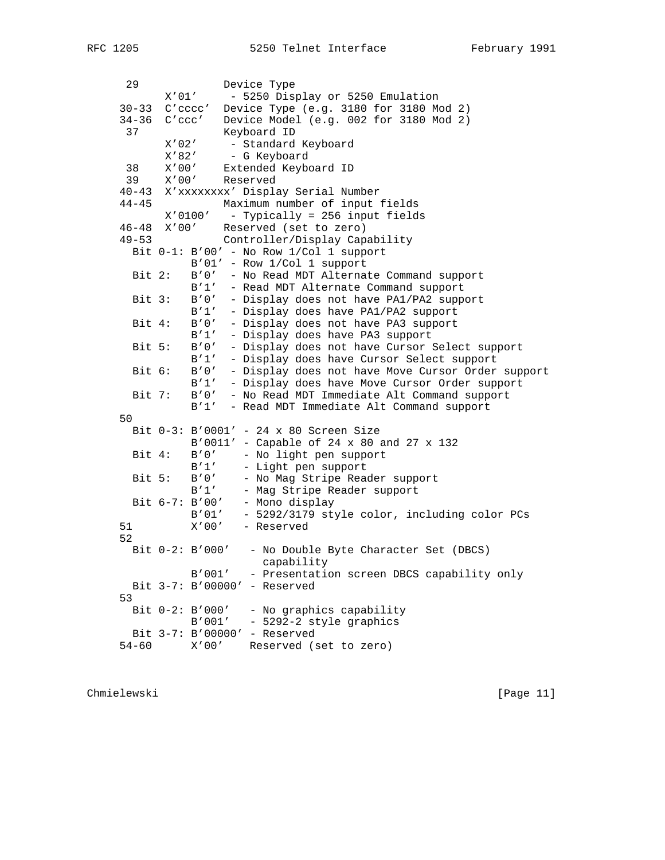```
29 Device Type<br>X'01' - 5250 Dism
                   - 5250 Display or 5250 Emulation
    30-33 C'cccc' Device Type (e.g. 3180 for 3180 Mod 2)
    34-36 C'ccc' Device Model (e.g. 002 for 3180 Mod 2)
    37 Keyboard ID<br>X'02' - Standard
          X'02' - Standard Keyboard<br>X'82' - G Keyboard
                   - G Keyboard
38 X'00' Extended Keyboard ID
39 X'00' Reserved
    40-43 X'xxxxxxxx' Display Serial Number
    44-45 Maximum number of input fields
           X'0100' - Typically = 256 input fields
   46-48 X'00' Reserved (set to zero)<br>49-53 Controller Diguitation Con
    49-53 Controller/Display Capability
      Bit 0-1: B'00' - No Row 1/Col 1 support
               B'01' - Row 1/Col 1 support
Bit 2: B'0' - No Read MDT Alternate Command support
B'1' - Read MDT Alternate Command support
      Bit 3: B'0' - Display does not have PA1/PA2 support
               B'1' - Display does have PA1/PA2 support
      Bit 4: B'0' - Display does not have PA3 support
               B'1' - Display does have PA3 support
      Bit 5: B'0' - Display does not have Cursor Select support
               B'1' - Display does have Cursor Select support
      Bit 6: B'0' - Display does not have Move Cursor Order support
               B'1' - Display does have Move Cursor Order support
      Bit 7: B'0' - No Read MDT Immediate Alt Command support
               B'1' - Read MDT Immediate Alt Command support
    50
     Bit 0-3: B'0001' - 24 x 80 Screen Size
               B'0011' - Capable of 24 x 80 and 27 x 132
      Bit 4: B'0' - No light pen support
               B'1' - Light pen support
     Bit 5: B'0' - No Mag Stripe Reader support<br>B'1' - Mag Stripe Reader support
                     - Mag Stripe Reader support
     Bit 6-7: B'00' - Mono display
               B'01' - 5292/3179 style color, including color PCs
    51 X'00' - Reserved
    52
     Bit 0-2: B'000' - No Double Byte Character Set (DBCS)
                         capability
               B'001' - Presentation screen DBCS capability only
     Bit 3-7: B'00000' - Reserved
    53
     Bit 0-2: B'000' - No graphics capability
               B'001' - 5292-2 style graphics
      Bit 3-7: B'00000' - Reserved
    54-60 X'00' Reserved (set to zero)
```
Chmielewski [Page 11]